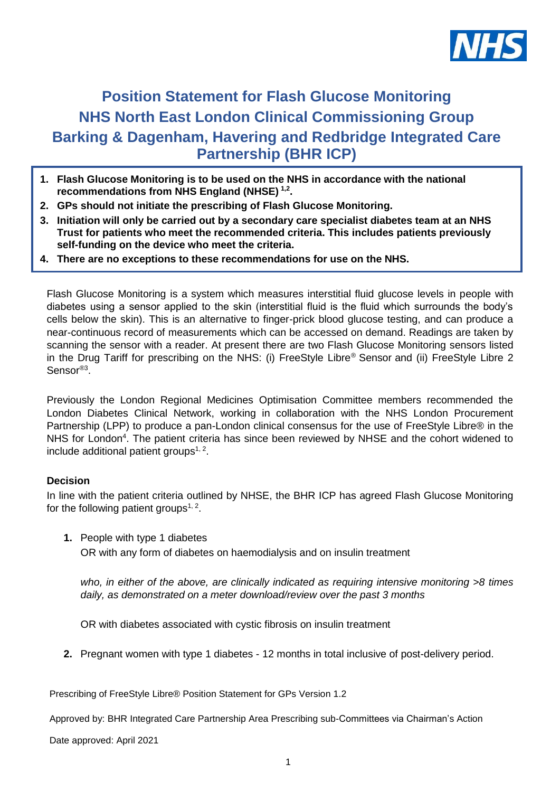

# **Position Statement for Flash Glucose Monitoring NHS North East London Clinical Commissioning Group Barking & Dagenham, Havering and Redbridge Integrated Care Partnership (BHR ICP)**

- **1. Flash Glucose Monitoring is to be used on the NHS in accordance with the national recommendations from NHS England (NHSE) 1,2 .**
- **2. GPs should not initiate the prescribing of Flash Glucose Monitoring.**
- **3. Initiation will only be carried out by a secondary care specialist diabetes team at an NHS Trust for patients who meet the recommended criteria. This includes patients previously self-funding on the device who meet the criteria.**
- **4. There are no exceptions to these recommendations for use on the NHS.**

Flash Glucose Monitoring is a system which measures interstitial fluid glucose levels in people with diabetes using a sensor applied to the skin (interstitial fluid is the fluid which surrounds the body's cells below the skin). This is an alternative to finger-prick blood glucose testing, and can produce a near-continuous record of measurements which can be accessed on demand. Readings are taken by scanning the sensor with a reader. At present there are two Flash Glucose Monitoring sensors listed in the Drug Tariff for prescribing on the NHS: (i) FreeStyle Libre® Sensor and (ii) FreeStyle Libre 2 Sensor<sup>®3</sup>.

Previously the London Regional Medicines Optimisation Committee members recommended the London Diabetes Clinical Network, working in collaboration with the NHS London Procurement Partnership (LPP) to produce a pan-London clinical consensus for the use of FreeStyle Libre® in the NHS for London<sup>4</sup>. The patient criteria has since been reviewed by NHSE and the cohort widened to include additional patient groups $1, 2$ .

## **Decision**

In line with the patient criteria outlined by NHSE, the BHR ICP has agreed Flash Glucose Monitoring for the following patient groups<sup>1, 2</sup>.

**1.** People with type 1 diabetes OR with any form of diabetes on haemodialysis and on insulin treatment

*who, in either of the above, are clinically indicated as requiring intensive monitoring >8 times daily, as demonstrated on a meter download/review over the past 3 months*

OR with diabetes associated with cystic fibrosis on insulin treatment

**2.** Pregnant women with type 1 diabetes - 12 months in total inclusive of post-delivery period.

Prescribing of FreeStyle Libre® Position Statement for GPs Version 1.2

Approved by: BHR Integrated Care Partnership Area Prescribing sub-Committees via Chairman's Action

Date approved: April 2021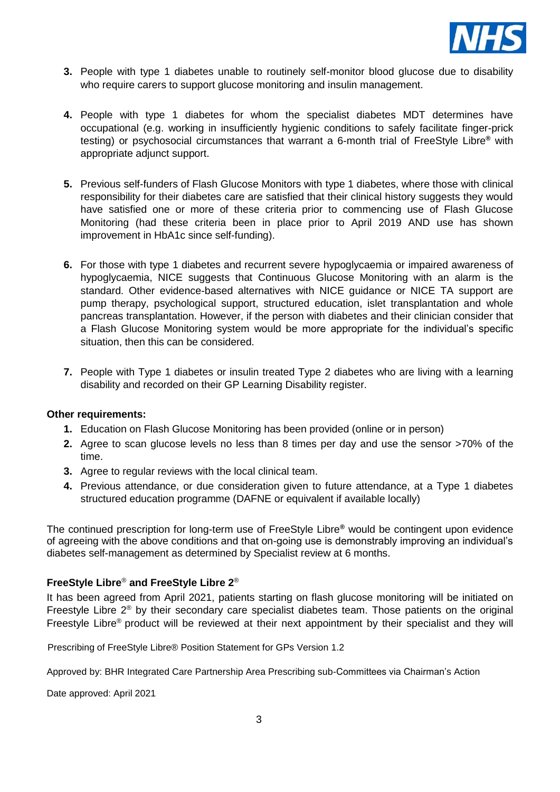

- **3.** People with type 1 diabetes unable to routinely self-monitor blood glucose due to disability who require carers to support glucose monitoring and insulin management.
- **4.** People with type 1 diabetes for whom the specialist diabetes MDT determines have occupational (e.g. working in insufficiently hygienic conditions to safely facilitate finger-prick testing) or psychosocial circumstances that warrant a 6-month trial of FreeStyle Libre**®** with appropriate adjunct support.
- **5.** Previous self-funders of Flash Glucose Monitors with type 1 diabetes, where those with clinical responsibility for their diabetes care are satisfied that their clinical history suggests they would have satisfied one or more of these criteria prior to commencing use of Flash Glucose Monitoring (had these criteria been in place prior to April 2019 AND use has shown improvement in HbA1c since self-funding).
- **6.** For those with type 1 diabetes and recurrent severe hypoglycaemia or impaired awareness of hypoglycaemia, NICE suggests that Continuous Glucose Monitoring with an alarm is the standard. Other evidence-based alternatives with NICE guidance or NICE TA support are pump therapy, psychological support, structured education, islet transplantation and whole pancreas transplantation. However, if the person with diabetes and their clinician consider that a Flash Glucose Monitoring system would be more appropriate for the individual's specific situation, then this can be considered.
- **7.** People with Type 1 diabetes or insulin treated Type 2 diabetes who are living with a learning disability and recorded on their GP Learning Disability register.

#### **Other requirements:**

- **1.** Education on Flash Glucose Monitoring has been provided (online or in person)
- **2.** Agree to scan glucose levels no less than 8 times per day and use the sensor >70% of the time.
- **3.** Agree to regular reviews with the local clinical team.
- **4.** Previous attendance, or due consideration given to future attendance, at a Type 1 diabetes structured education programme (DAFNE or equivalent if available locally)

The continued prescription for long-term use of FreeStyle Libre**®** would be contingent upon evidence of agreeing with the above conditions and that on-going use is demonstrably improving an individual's diabetes self-management as determined by Specialist review at 6 months.

## **FreeStyle Libre**® **and FreeStyle Libre 2**®

It has been agreed from April 2021, patients starting on flash glucose monitoring will be initiated on Freestyle Libre  $2<sup>®</sup>$  by their secondary care specialist diabetes team. Those patients on the original Freestyle Libre<sup>®</sup> product will be reviewed at their next appointment by their specialist and they will

Prescribing of FreeStyle Libre® Position Statement for GPs Version 1.2

Approved by: BHR Integrated Care Partnership Area Prescribing sub-Committees via Chairman's Action

Date approved: April 2021